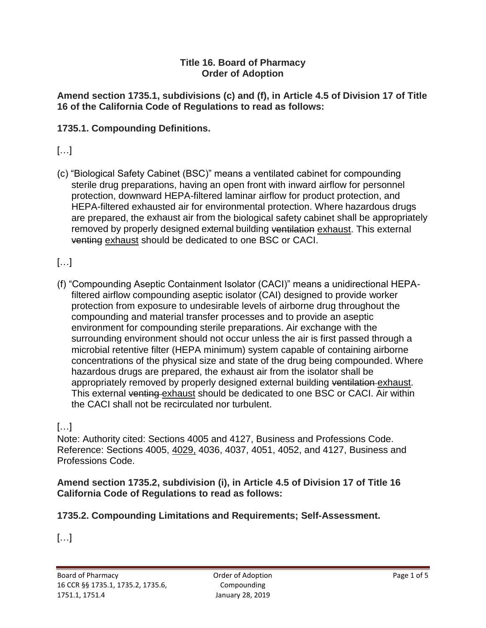#### **Title 16. Board of Pharmacy Order of Adoption**

**Amend section 1735.1, subdivisions (c) and (f), in Article 4.5 of Division 17 of Title 16 of the California Code of Regulations to read as follows:** 

### **1735.1. Compounding Definitions.**

## $[...]$

(c) "Biological Safety Cabinet (BSC)" means a ventilated cabinet for compounding sterile drug preparations, having an open front with inward airflow for personnel protection, downward HEPA-filtered laminar airflow for product protection, and HEPA-filtered exhausted air for environmental protection. Where hazardous drugs are prepared, the exhaust air from the biological safety cabinet shall be appropriately removed by properly designed external building ventilation exhaust. This external venting exhaust should be dedicated to one BSC or CACI.

## $[...]$

 filtered airflow compounding aseptic isolator (CAI) designed to provide worker protection from exposure to undesirable levels of airborne drug throughout the (f) "Compounding Aseptic Containment Isolator (CACI)" means a unidirectional HEPAcompounding and material transfer processes and to provide an aseptic environment for compounding sterile preparations. Air exchange with the surrounding environment should not occur unless the air is first passed through a microbial retentive filter (HEPA minimum) system capable of containing airborne concentrations of the physical size and state of the drug being compounded. Where hazardous drugs are prepared, the exhaust air from the isolator shall be appropriately removed by properly designed external building ventilation exhaust. This external venting exhaust should be dedicated to one BSC or CACI. Air within the CACI shall not be recirculated nor turbulent.

## […]

Note: Authority cited: Sections 4005 and 4127, Business and Professions Code. Reference: Sections 4005, 4029, 4036, 4037, 4051, 4052, and 4127, Business and Professions Code.

#### **Amend section 1735.2, subdivision (i), in Article 4.5 of Division 17 of Title 16 California Code of Regulations to read as follows:**

#### **1735.2. Compounding Limitations and Requirements; Self-Assessment.**

[…]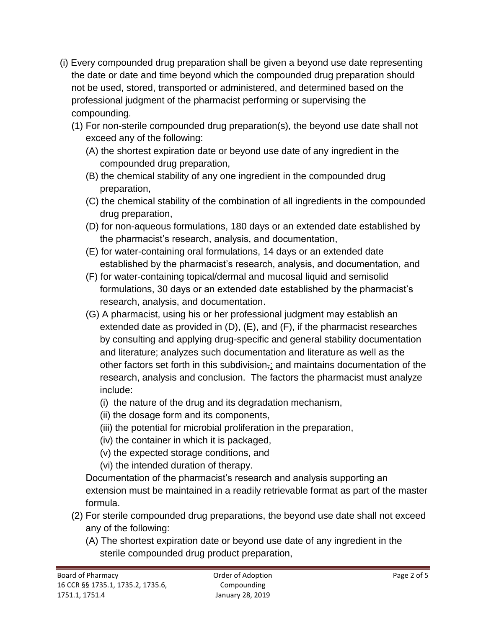- (i) Every compounded drug preparation shall be given a beyond use date representing the date or date and time beyond which the compounded drug preparation should not be used, stored, transported or administered, and determined based on the professional judgment of the pharmacist performing or supervising the compounding.
	- (1) For non-sterile compounded drug preparation(s), the beyond use date shall not exceed any of the following:
		- (A) the shortest expiration date or beyond use date of any ingredient in the compounded drug preparation,
		- (B) the chemical stability of any one ingredient in the compounded drug preparation,
		- (C) the chemical stability of the combination of all ingredients in the compounded drug preparation,
		- (D) for non-aqueous formulations, 180 days or an extended date established by the pharmacist's research, analysis, and documentation,
		- (E) for water-containing oral formulations, 14 days or an extended date established by the pharmacist's research, analysis, and documentation, and
		- (F) for water-containing topical/dermal and mucosal liquid and semisolid formulations, 30 days or an extended date established by the pharmacist's research, analysis, and documentation.
		- (G) A pharmacist, using his or her professional judgment may establish an extended date as provided in (D), (E), and (F), if the pharmacist researches by consulting and applying drug-specific and general stability documentation and literature; analyzes such documentation and literature as well as the other factors set forth in this subdivision $\overline{z}$  and maintains documentation of the research, analysis and conclusion. The factors the pharmacist must analyze include:
			- (i) the nature of the drug and its degradation mechanism,
			- (ii) the dosage form and its components,
			- (iii) the potential for microbial proliferation in the preparation,
			- (iv) the container in which it is packaged,
			- (v) the expected storage conditions, and
			- (vi) the intended duration of therapy.

Documentation of the pharmacist's research and analysis supporting an extension must be maintained in a readily retrievable format as part of the master formula.

- (2) For sterile compounded drug preparations, the beyond use date shall not exceed any of the following:
	- (A) The shortest expiration date or beyond use date of any ingredient in the sterile compounded drug product preparation,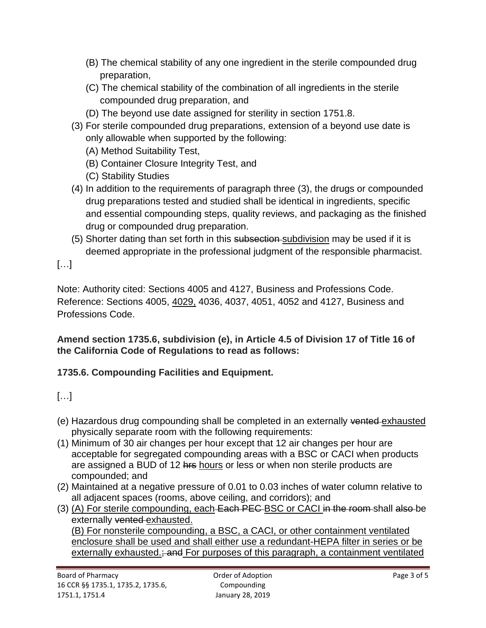- (B) The chemical stability of any one ingredient in the sterile compounded drug preparation,
- (C) The chemical stability of the combination of all ingredients in the sterile compounded drug preparation, and
- (D) The beyond use date assigned for sterility in section 1751.8.
- (3) For sterile compounded drug preparations, extension of a beyond use date is only allowable when supported by the following:
	- (A) Method Suitability Test,
	- (B) Container Closure Integrity Test, and
	- (C) Stability Studies
- (4) In addition to the requirements of paragraph three (3), the drugs or compounded drug preparations tested and studied shall be identical in ingredients, specific and essential compounding steps, quality reviews, and packaging as the finished drug or compounded drug preparation.
- (5) Shorter dating than set forth in this subsection-subdivision may be used if it is deemed appropriate in the professional judgment of the responsible pharmacist.

[…]

Note: Authority cited: Sections 4005 and 4127, Business and Professions Code. Reference: Sections 4005, 4029, 4036, 4037, 4051, 4052 and 4127, Business and Professions Code.

**Amend section 1735.6, subdivision (e), in Article 4.5 of Division 17 of Title 16 of the California Code of Regulations to read as follows:** 

## **1735.6. Compounding Facilities and Equipment.**

# […]

- (e) Hazardous drug compounding shall be completed in an externally vented exhausted physically separate room with the following requirements:
- (1) Minimum of 30 air changes per hour except that 12 air changes per hour are acceptable for segregated compounding areas with a BSC or CACI when products are assigned a BUD of 12 hrs hours or less or when non sterile products are compounded; and
- (2) Maintained at a negative pressure of 0.01 to 0.03 inches of water column relative to all adjacent spaces (rooms, above ceiling, and corridors); and
- (3) (A) For sterile compounding, each Each PEC BSC or CACI in the room shall also be externally vented exhausted.

(B) For nonsterile compounding, a BSC, a CACI, or other containment ventilated enclosure shall be used and shall either use a redundant-HEPA filter in series or be externally exhausted.; and For purposes of this paragraph, a containment ventilated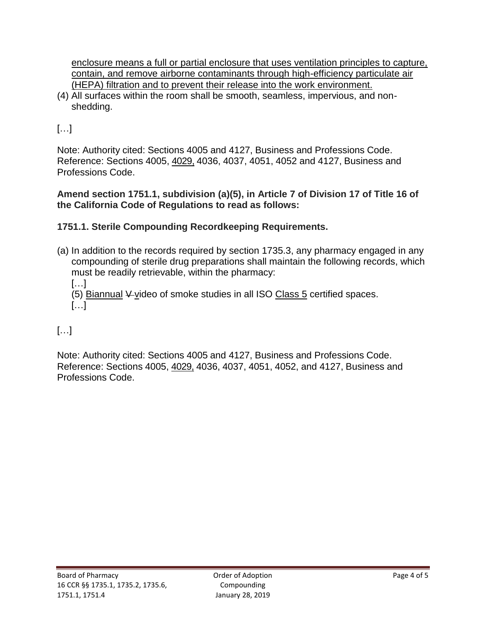contain, and remove airborne contaminants through high-efficiency particulate air enclosure means a full or partial enclosure that uses ventilation principles to capture, (HEPA) filtration and to prevent their release into the work environment.

(4) All surfaces within the room shall be smooth, seamless, impervious, and nonshedding.

 $[...]$ 

Note: Authority cited: Sections 4005 and 4127, Business and Professions Code. Reference: Sections 4005, 4029, 4036, 4037, 4051, 4052 and 4127, Business and Professions Code.

**Amend section 1751.1, subdivision (a)(5), in Article 7 of Division 17 of Title 16 of the California Code of Regulations to read as follows:** 

## **1751.1. Sterile Compounding Recordkeeping Requirements.**

(a) In addition to the records required by section 1735.3, any pharmacy engaged in any compounding of sterile drug preparations shall maintain the following records, which must be readily retrievable, within the pharmacy:

[…] (5) Biannual  $\frac{1}{2}$  video of smoke studies in all ISO Class 5 certified spaces. […]

# […]

Note: Authority cited: Sections 4005 and 4127, Business and Professions Code. Reference: Sections 4005, 4029, 4036, 4037, 4051, 4052, and 4127, Business and Professions Code.